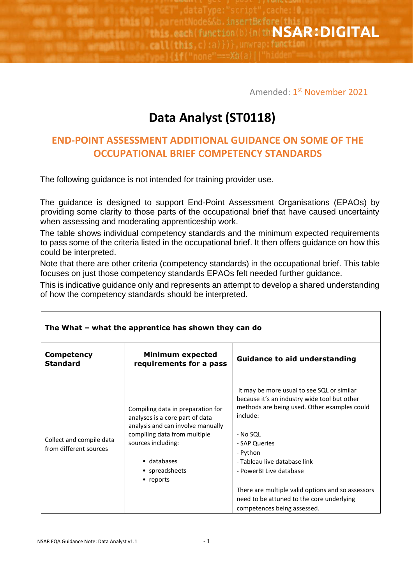function(b) {n(th**NSAR:DIGITAL** rtimo il this each **Call this** 

Amended: 1<sup>st</sup> N<mark>ovember 2021</mark>

## **Data Analyst (ST0118)**

## **END-POINT ASSESSMENT ADDITIONAL GUIDANCE ON SOME OF THE OCCUPATIONAL BRIEF COMPETENCY STANDARDS**

The following guidance is not intended for training provider use.

The guidance is designed to support End-Point Assessment Organisations (EPAOs) by providing some clarity to those parts of the occupational brief that have caused uncertainty when assessing and moderating apprenticeship work.

The table shows individual competency standards and the minimum expected requirements to pass some of the criteria listed in the occupational brief. It then offers guidance on how this could be interpreted.

Note that there are other criteria (competency standards) in the occupational brief. This table focuses on just those competency standards EPAOs felt needed further guidance.

This is indicative guidance only and represents an attempt to develop a shared understanding of how the competency standards should be interpreted.

| <b>Competency</b><br><b>Standard</b>               | <b>Minimum expected</b><br>requirements for a pass                                                                                                                                                            | <b>Guidance to aid understanding</b>                                                                                                                                                                                                                                                                                                                                                        |  |
|----------------------------------------------------|---------------------------------------------------------------------------------------------------------------------------------------------------------------------------------------------------------------|---------------------------------------------------------------------------------------------------------------------------------------------------------------------------------------------------------------------------------------------------------------------------------------------------------------------------------------------------------------------------------------------|--|
| Collect and compile data<br>from different sources | Compiling data in preparation for<br>analyses is a core part of data<br>analysis and can involve manually<br>compiling data from multiple<br>sources including:<br>• databases<br>• spreadsheets<br>• reports | It may be more usual to see SQL or similar<br>because it's an industry wide tool but other<br>methods are being used. Other examples could<br>include:<br>- No SQL<br>- SAP Queries<br>- Python<br>- Tableau live database link<br>- PowerBI Live database<br>There are multiple valid options and so assessors<br>need to be attuned to the core underlying<br>competences being assessed. |  |

## **The What – what the apprentice has shown they can do**